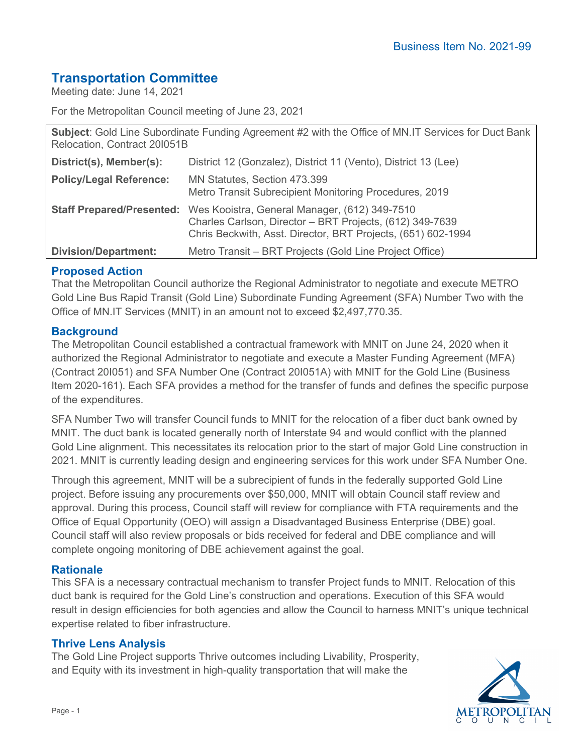# **Transportation Committee**

Meeting date: June 14, 2021

For the Metropolitan Council meeting of June 23, 2021

**Subject**: Gold Line Subordinate Funding Agreement #2 with the Office of MN.IT Services for Duct Bank Relocation, Contract 20I051B **District(s), Member(s):** District 12 (Gonzalez), District 11 (Vento), District 13 (Lee) **Policy/Legal Reference:** MN Statutes, Section 473.399 Metro Transit Subrecipient Monitoring Procedures, 2019 **Staff Prepared/Presented:** Wes Kooistra, General Manager, (612) 349-7510 Charles Carlson, Director – BRT Projects, (612) 349-7639 Chris Beckwith, Asst. Director, BRT Projects, (651) 602-1994 **Division/Department:** Metro Transit – BRT Projects (Gold Line Project Office)

## **Proposed Action**

That the Metropolitan Council authorize the Regional Administrator to negotiate and execute METRO Gold Line Bus Rapid Transit (Gold Line) Subordinate Funding Agreement (SFA) Number Two with the Office of MN.IT Services (MNIT) in an amount not to exceed \$2,497,770.35.

## **Background**

The Metropolitan Council established a contractual framework with MNIT on June 24, 2020 when it authorized the Regional Administrator to negotiate and execute a Master Funding Agreement (MFA) (Contract 20I051) and SFA Number One (Contract 20I051A) with MNIT for the Gold Line (Business Item 2020-161). Each SFA provides a method for the transfer of funds and defines the specific purpose of the expenditures.

SFA Number Two will transfer Council funds to MNIT for the relocation of a fiber duct bank owned by MNIT. The duct bank is located generally north of Interstate 94 and would conflict with the planned Gold Line alignment. This necessitates its relocation prior to the start of major Gold Line construction in 2021. MNIT is currently leading design and engineering services for this work under SFA Number One.

Through this agreement, MNIT will be a subrecipient of funds in the federally supported Gold Line project. Before issuing any procurements over \$50,000, MNIT will obtain Council staff review and approval. During this process, Council staff will review for compliance with FTA requirements and the Office of Equal Opportunity (OEO) will assign a Disadvantaged Business Enterprise (DBE) goal. Council staff will also review proposals or bids received for federal and DBE compliance and will complete ongoing monitoring of DBE achievement against the goal.

## **Rationale**

This SFA is a necessary contractual mechanism to transfer Project funds to MNIT. Relocation of this duct bank is required for the Gold Line's construction and operations. Execution of this SFA would result in design efficiencies for both agencies and allow the Council to harness MNIT's unique technical expertise related to fiber infrastructure.

#### **Thrive Lens Analysis**

The Gold Line Project supports Thrive outcomes including Livability, Prosperity, and Equity with its investment in high-quality transportation that will make the